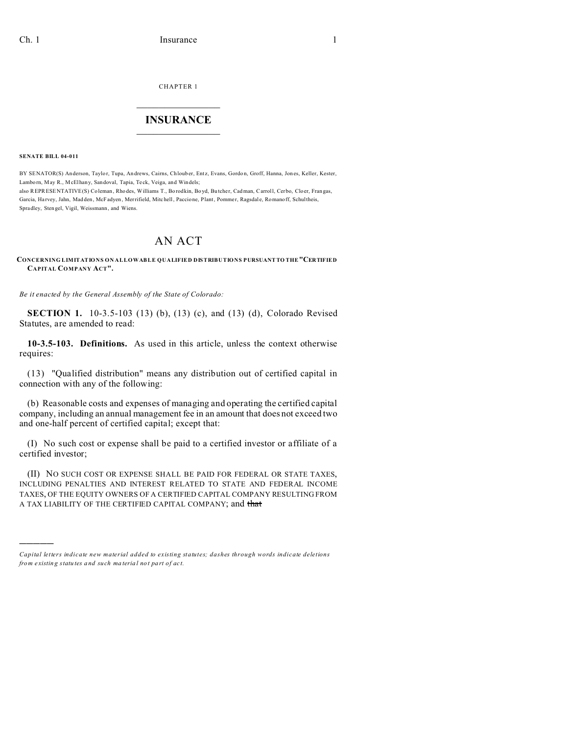**CHAPTER 1** 

## **INSURANCE**

**SENATE BILL 04-011** 

BY SENATOR(S) Anderson, Taylor, Tupa, Andrews, Cairns, Chlouber, Entz, Evans, Gordon, Groff, Hanna, Jones, Keller, Kester, Lamborn, May R., McElhany, Sandoval, Tapia, Teck, Veiga, and Windels; also REPRESENTATIVE(S) Coleman, Rhodes, Williams T., Borodkin, Boyd, Butcher, Cadman, Carroll, Cerbo, Cloer, Frangas, Garcia, Harvey, Jahn, Madden, McFadyen, Merrifield, Mitchell, Paccione, Plant, Pommer, Ragsdale, Romanoff, Schultheis, Spradley, Stengel, Vigil, Weissmann, and Wiens.

## AN ACT

## CONCERNING LIMITATIONS ON ALLOWABLE QUALIFIED DISTRIBUTIONS PURSUANT TO THE "CERTIFIED CAPITAL COMPANY ACT".

Be it enacted by the General Assembly of the State of Colorado:

**SECTION 1.** 10-3.5-103 (13) (b), (13) (c), and (13) (d), Colorado Revised Statutes, are amended to read:

10-3.5-103. Definitions. As used in this article, unless the context otherwise requires:

(13) "Qualified distribution" means any distribution out of certified capital in connection with any of the following:

(b) Reasonable costs and expenses of managing and operating the certified capital company, including an annual management fee in an amount that does not exceed two and one-half percent of certified capital; except that:

(I) No such cost or expense shall be paid to a certified investor or affiliate of a certified investor;

(II) NO SUCH COST OR EXPENSE SHALL BE PAID FOR FEDERAL OR STATE TAXES, INCLUDING PENALTIES AND INTEREST RELATED TO STATE AND FEDERAL INCOME TAXES, OF THE EQUITY OWNERS OF A CERTIFIED CAPITAL COMPANY RESULTING FROM A TAX LIABILITY OF THE CERTIFIED CAPITAL COMPANY; and that

Capital letters indicate new material added to existing statutes; dashes through words indicate deletions from existing statutes and such material not part of act.